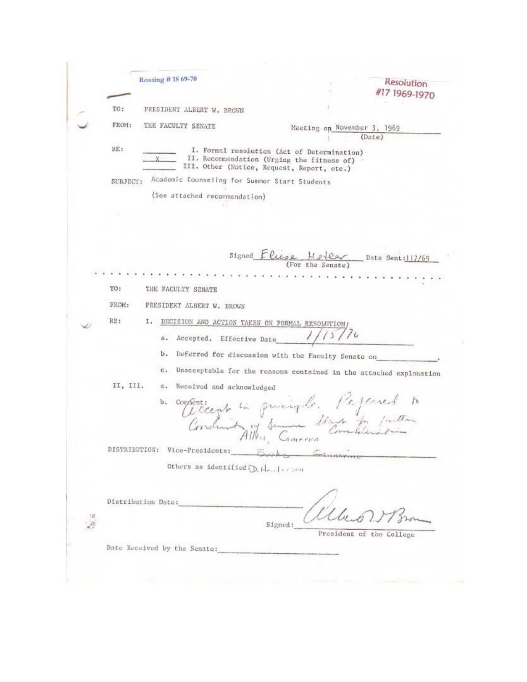Routing #18 69-70 Resolution #17 1969-1970 PRESIDENT ALBERT W. BROWN TO: FROM: THE FACULTY SENATE Meeting on November 3, 1969  $(Date)$  $KE:$ I. Formal resolution (Act of Determination) . II. Recommendation (Urging the fitness of)<br>III. Other (Notice, Request, Report, etc.) SUBJECT: Academic Counseling for Summer Start Students (See attached recommendation) Signed  $E$ Cise Helex Date Sent:117/69 TO: THE FACULTY SENATE PRESIDENT ALBERT W. BROWN FROM: RE: I. DECISION AND ACTION TAKEN ON FORMAL RESOLUTION  $15770$ a. Accepted. Effective Date b. Deferred for discussion with the Faculty Senate on c. Unacceptable for the reasons contained in the attached explanation II, III. a. Recuived and acknowledged De componer en principle. Pejerred to DISTRIBUTION: Vice-Presidents: Others as identified; D. Henderson Distribution Date: 短 Ĵä Signed: President of the College Date Received by the Senate: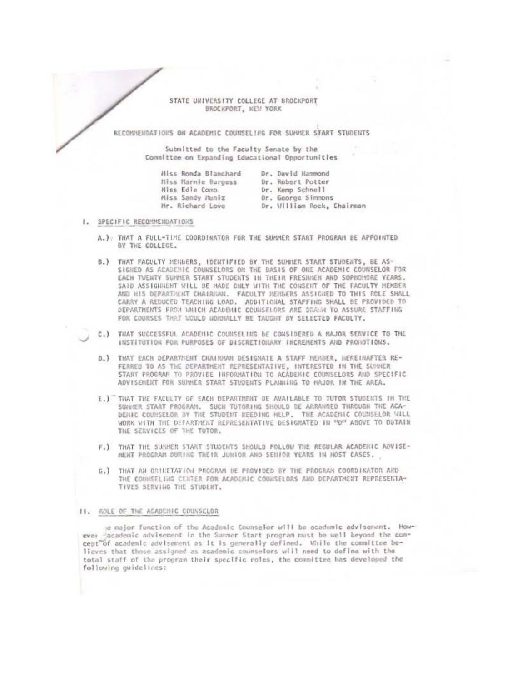## STATE UNIVERSITY COLLEGE AT BROCKPORT BROCKPORT, NEW YORK

RECONNEHOATIONS ON ACADEMIC COUNSELING FOR SUNNER START STUDENTS

Submitted to the Faculty Senate by the Committee on Expanding Educational Opportunities

| Miss Ronda Blanchard | Dr. David Hammond          |
|----------------------|----------------------------|
| Miss Marnie Burgess  | Dr. Robert Potter          |
| Miss Edie Como.      | Dr. Kemp Schnell           |
| Miss Sandy Huniz     | Dr. George Simmons         |
| Mr. Richard Love     | Dr. William Rock, Chairman |
|                      |                            |

- I. SPECIFIC RECOMMENDATIONS
	- A.): THAT A FULL-TIME COORDINATOR FOR THE SUMMER START PROGRAM BE APPOINTED BY THE COLLEGE.
	- B.) THAT FACULTY MENDERS, IDENTIFIED BY THE SUNNER START STUDENTS, BE AS-SIGNED AS ACADEMIC COUNSELORS ON THE BASIS OF ONE ACADEMIC COUNSELOR FOR EACH TWENTY SUMMER START STUDENTS IN THEIR FRESINGN AND SOPHOMORE YEARS. SAID ASSIGNMENT WILL BE MADE ONLY WITH THE CONSENT OF THE FACULTY MEMBER AND HIS DEPARTMENT CHAIRMAN. FACULTY MEMBERS ASSIGNED TO THIS ROLE SHALL CARRY A REDUCED TEACHING LOAD. ADDITIONAL STAFFING SHALL BE PROVIDED TO DEPARTMENTS FROM WHICH ACADEMIC COUNSELORS ARE DRAWN TO ASSURE STAFFING FOR COURSES THAT MOULD HORMALLY BE TAUGHT BY SELECTED FACULTY.
	- C.) THAT SUCCESSFUL ACADEMIC COUNSELING BE CONSIDERED A NAJOR SERVICE TO THE INSTITUTION FOR PURPOSES OF DISCRETIONARY INCREMENTS AND PRONOTIONS.
	- D.) THAT EACH DEPARTMENT CHAIRMAN DESIGNATE A STAFF MEMBER, NEREINAFTER RE-FERRED TO AS THE DEPARTMENT REPRESENTATIVE, INTERESTED IN THE SUMMER START PROGRAM TO PROVIDE INFORMATION TO ACADEMIC COUNSELORS AND SPECIFIC ADVISEMENT FOR SUNNER START STUDENTS PLANNING TO HAJOR IN THE AREA.
	- E.) THAT THE FACULTY OF EACH DEPARTMENT DE AVAILABLE TO TUTOR STUDENTS IN THE SUVERER START PROGRAM. SUCH TUTORING SHOULD BE ARRANGED THROUGH THE ACA-DENIC COUNSELOR BY THE STUDENT NEEDING HELP. THE ACADEMIC COUNSELOR WILL WORK WITH THE DEPARTMENT REPRESENTATIVE DESIGNATED IN "D" ABOVE TO OGTAIN THE SERVICES OF THE TUTOR.
	- F.) THAT THE SURPER START STUDENTS SHOULD FOLLOW THE REGULAR ACADERIC ADVISE-MENT PROGRAM DURING THETR JUNIOR AND SENIOR YEARS IN HOST CASES.
	- G.) THAT AN ORTNETATION PROGRAM BE PROVIDED BY THE PROGRAM COORDIKATOR AND THE COUNSELING CENTER FOR ACADEMIC COUNSELORS AND DEPARTMENT REPRESENTA-TIVES SERVING THE STUDENT.

## 11. ROLE OF THE ACADEMIC COUNSELOR

a major function of the Academic Counselor will be academic advisement. However academic advisement in the Summer Start program must be well beyond the concept of academic advisement as it is generally defined. While the committee believes that those assigned as academic counselors will need to define with the total staff of the program their specific roles, the committee has developed the following guidelines: